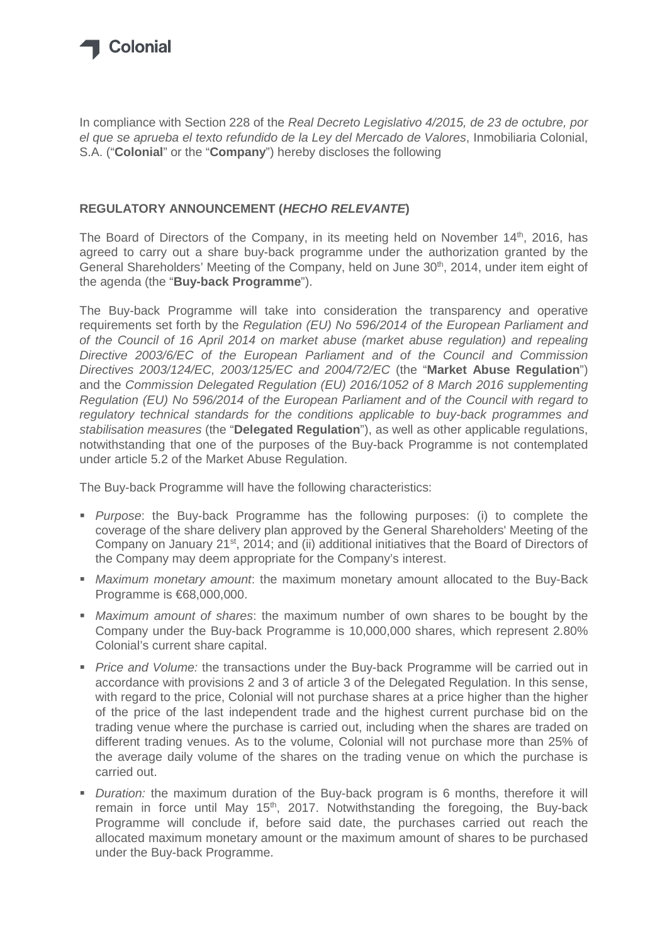

In compliance with Section 228 of the Real Decreto Legislativo 4/2015, de 23 de octubre, por el que se aprueba el texto refundido de la Ley del Mercado de Valores, Inmobiliaria Colonial, S.A. ("**Colonial**" or the "**Company**") hereby discloses the following

## **REGULATORY ANNOUNCEMENT (HECHO RELEVANTE)**

The Board of Directors of the Company, in its meeting held on November 14<sup>th</sup>, 2016, has agreed to carry out a share buy-back programme under the authorization granted by the General Shareholders' Meeting of the Company, held on June 30<sup>th</sup>, 2014, under item eight of the agenda (the "**Buy-back Programme**").

The Buy-back Programme will take into consideration the transparency and operative requirements set forth by the Regulation (EU) No 596/2014 of the European Parliament and of the Council of 16 April 2014 on market abuse (market abuse regulation) and repealing Directive 2003/6/EC of the European Parliament and of the Council and Commission Directives 2003/124/EC, 2003/125/EC and 2004/72/EC (the "**Market Abuse Regulation**") and the Commission Delegated Regulation (EU) 2016/1052 of 8 March 2016 supplementing Regulation (EU) No 596/2014 of the European Parliament and of the Council with regard to regulatory technical standards for the conditions applicable to buy-back programmes and stabilisation measures (the "**Delegated Regulation**"), as well as other applicable regulations, notwithstanding that one of the purposes of the Buy-back Programme is not contemplated under article 5.2 of the Market Abuse Regulation.

The Buy-back Programme will have the following characteristics:

- **Purpose:** the Buy-back Programme has the following purposes: (i) to complete the coverage of the share delivery plan approved by the General Shareholders' Meeting of the Company on January 21<sup>st</sup>, 2014; and (ii) additional initiatives that the Board of Directors of the Company may deem appropriate for the Company's interest.
- **Maximum monetary amount: the maximum monetary amount allocated to the Buy-Back** Programme is €68,000,000.
- **Maximum amount of shares: the maximum number of own shares to be bought by the** Company under the Buy-back Programme is 10,000,000 shares, which represent 2.80% Colonial's current share capital.
- Price and Volume: the transactions under the Buy-back Programme will be carried out in accordance with provisions 2 and 3 of article 3 of the Delegated Regulation. In this sense, with regard to the price, Colonial will not purchase shares at a price higher than the higher of the price of the last independent trade and the highest current purchase bid on the trading venue where the purchase is carried out, including when the shares are traded on different trading venues. As to the volume, Colonial will not purchase more than 25% of the average daily volume of the shares on the trading venue on which the purchase is carried out.
- Duration: the maximum duration of the Buy-back program is 6 months, therefore it will remain in force until May 15<sup>th</sup>, 2017. Notwithstanding the foregoing, the Buy-back Programme will conclude if, before said date, the purchases carried out reach the allocated maximum monetary amount or the maximum amount of shares to be purchased under the Buy-back Programme.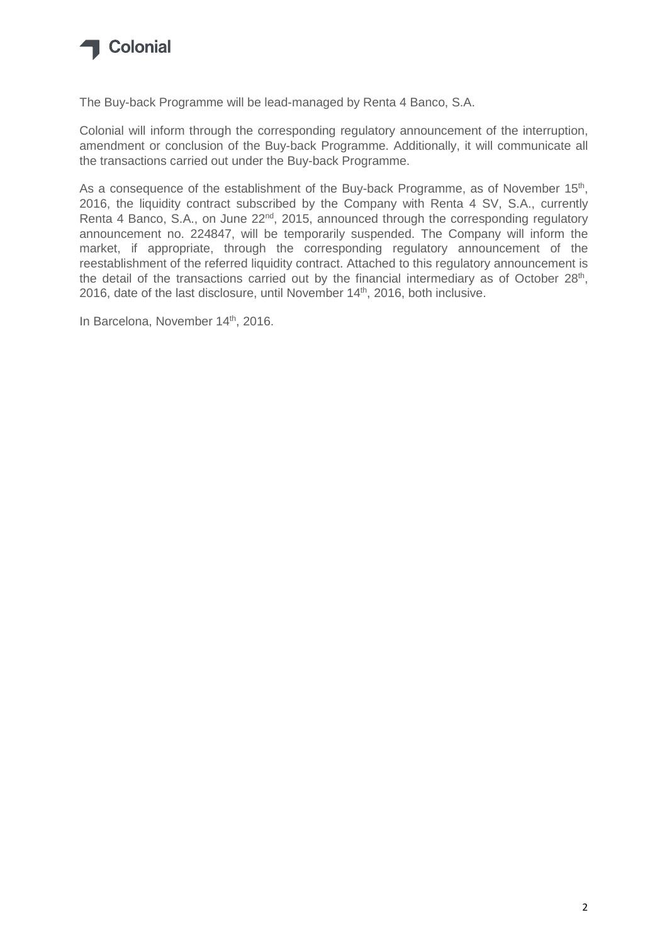

The Buy-back Programme will be lead-managed by Renta 4 Banco, S.A.

Colonial will inform through the corresponding regulatory announcement of the interruption, amendment or conclusion of the Buy-back Programme. Additionally, it will communicate all the transactions carried out under the Buy-back Programme.

As a consequence of the establishment of the Buy-back Programme, as of November 15<sup>th</sup>, 2016, the liquidity contract subscribed by the Company with Renta 4 SV, S.A., currently Renta 4 Banco, S.A., on June 22<sup>nd</sup>, 2015, announced through the corresponding regulatory announcement no. 224847, will be temporarily suspended. The Company will inform the market, if appropriate, through the corresponding regulatory announcement of the reestablishment of the referred liquidity contract. Attached to this regulatory announcement is the detail of the transactions carried out by the financial intermediary as of October 28<sup>th</sup>, 2016, date of the last disclosure, until November 14<sup>th</sup>, 2016, both inclusive.

In Barcelona, November 14<sup>th</sup>, 2016.